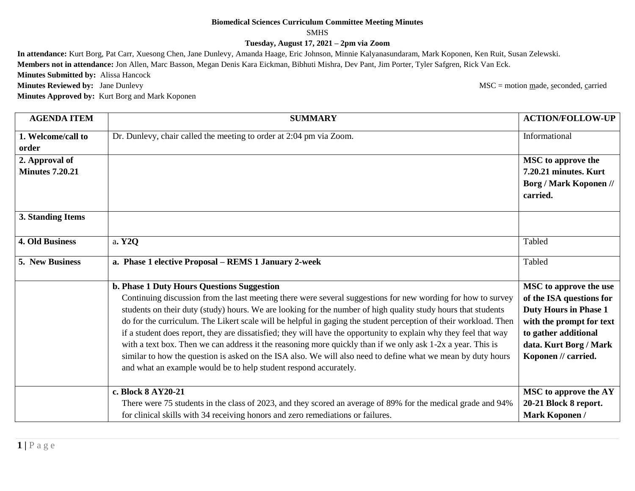## **Biomedical Sciences Curriculum Committee Meeting Minutes**

## SMHS

**Tuesday, August 17, 2021 – 2pm via Zoom**

**In attendance:** Kurt Borg, Pat Carr, Xuesong Chen, Jane Dunlevy, Amanda Haage, Eric Johnson, Minnie Kalyanasundaram, Mark Koponen, Ken Ruit, Susan Zelewski. **Members not in attendance:** Jon Allen, Marc Basson, Megan Denis Kara Eickman, Bibhuti Mishra, Dev Pant, Jim Porter, Tyler Safgren, Rick Van Eck. **Minutes Submitted by:** Alissa Hancock **Minutes Reviewed by:** Jane Dunlevy MSC = motion made, seconded, carried **Minutes Approved by:** Kurt Borg and Mark Koponen

| <b>AGENDA ITEM</b>          | <b>SUMMARY</b>                                                                                                                                                                                                                   | <b>ACTION/FOLLOW-UP</b>                        |
|-----------------------------|----------------------------------------------------------------------------------------------------------------------------------------------------------------------------------------------------------------------------------|------------------------------------------------|
| 1. Welcome/call to<br>order | Dr. Dunlevy, chair called the meeting to order at 2:04 pm via Zoom.                                                                                                                                                              | Informational                                  |
| 2. Approval of              |                                                                                                                                                                                                                                  | <b>MSC</b> to approve the                      |
| <b>Minutes 7.20.21</b>      |                                                                                                                                                                                                                                  | 7.20.21 minutes. Kurt                          |
|                             |                                                                                                                                                                                                                                  | <b>Borg / Mark Koponen //</b><br>carried.      |
| 3. Standing Items           |                                                                                                                                                                                                                                  |                                                |
| <b>4. Old Business</b>      | a. Y2Q                                                                                                                                                                                                                           | Tabled                                         |
| 5. New Business             | a. Phase 1 elective Proposal - REMS 1 January 2-week                                                                                                                                                                             | Tabled                                         |
|                             | b. Phase 1 Duty Hours Questions Suggestion                                                                                                                                                                                       | <b>MSC</b> to approve the use                  |
|                             | Continuing discussion from the last meeting there were several suggestions for new wording for how to survey                                                                                                                     | of the ISA questions for                       |
|                             | students on their duty (study) hours. We are looking for the number of high quality study hours that students                                                                                                                    | <b>Duty Hours in Phase 1</b>                   |
|                             | do for the curriculum. The Likert scale will be helpful in gaging the student perception of their workload. Then                                                                                                                 | with the prompt for text                       |
|                             | if a student does report, they are dissatisfied; they will have the opportunity to explain why they feel that way<br>with a text box. Then we can address it the reasoning more quickly than if we only ask 1-2x a year. This is | to gather additional<br>data. Kurt Borg / Mark |
|                             | similar to how the question is asked on the ISA also. We will also need to define what we mean by duty hours<br>and what an example would be to help student respond accurately.                                                 | Koponen // carried.                            |
|                             | c. Block 8 AY20-21                                                                                                                                                                                                               | MSC to approve the AY                          |
|                             | There were 75 students in the class of 2023, and they scored an average of 89% for the medical grade and 94%                                                                                                                     | 20-21 Block 8 report.                          |
|                             | for clinical skills with 34 receiving honors and zero remediations or failures.                                                                                                                                                  | <b>Mark Koponen /</b>                          |